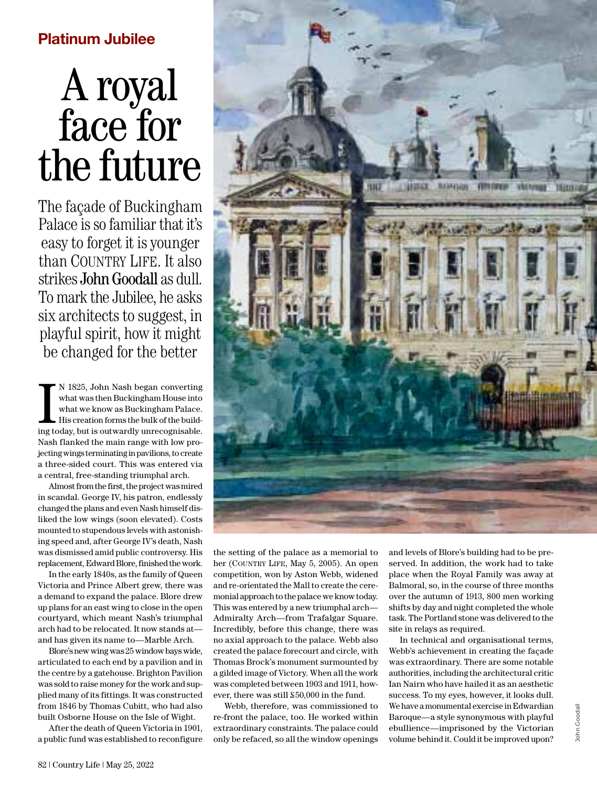# A royal face for the future

The façade of Buckingham Palace is so familiar that it's easy to forget it is younger than COUNTRY LIFE. It also strikes John Goodall as dull. To mark the Jubilee, he asks six architects to suggest, in playful spirit, how it might be changed for the better

N 1825, John Nash began converting<br>what was then Buckingham House into<br>what we know as Buckingham Palace.<br>His creation forms the bulk of the build-<br>ing today, but is outwardly unrecognisable. N 1825, John Nash began converting what was then Buckingham House into what we know as Buckingham Palace. His creation forms the bulk of the build-Nash flanked the main range with low projecting wings terminating in pavilions, to create a three-sided court. This was entered via a central, free-standing triumphal arch.

Almost from the first, the project was mired in scandal. George IV, his patron, endlessly changed the plans and even Nash himself disliked the low wings (soon elevated). Costs mounted to stupendous levels with astonishing speed and, after George IV's death, Nash was dismissed amid public controversy. His replacement, Edward Blore, finished the work.

In the early 1840s, as the family of Queen Victoria and Prince Albert grew, there was a demand to expand the palace. Blore drew up plans for an east wing to close in the open courtyard, which meant Nash's triumphal arch had to be relocated. It now stands at and has given its name to—Marble Arch.

Blore's new wing was 25 window bays wide, articulated to each end by a pavilion and in the centre by a gatehouse. Brighton Pavilion was sold to raise money for the work and supplied many of its fittings. It was constructed from 1846 by Thomas Cubitt, who had also built Osborne House on the Isle of Wight.

After the death of Queen Victoria in 1901, a public fund was established to reconfigure



the setting of the palace as a memorial to her (COUNTRY LIFE, May 5, 2005). An open competition, won by Aston Webb, widened and re-orientated the Mall to create the ceremonial approach to the palace we know today. This was entered by a new triumphal arch— Admiralty Arch—from Trafalgar Square. Incredibly, before this change, there was no axial approach to the palace. Webb also created the palace forecourt and circle, with Thomas Brock's monument surmounted by a gilded image of Victory. When all the work was completed between 1903 and 1911, however, there was still £50,000 in the fund.

Webb, therefore, was commissioned to re-front the palace, too. He worked within extraordinary constraints. The palace could only be refaced, so all the window openings

and levels of Blore's building had to be preserved. In addition, the work had to take place when the Royal Family was away at Balmoral, so, in the course of three months over the autumn of 1913, 800 men working shifts by day and night completed the whole task. The Portland stone was delivered to the site in relays as required.

In technical and organisational terms, Webb's achievement in creating the façade was extraordinary. There are some notable authorities, including the architectural critic Ian Nairn who have hailed it as an aesthetic success. To my eyes, however, it looks dull. We have a monumental exercise in Edwardian Baroque—a style synonymous with playful ebullience—imprisoned by the Victorian volume behind it. Could it be improved upon?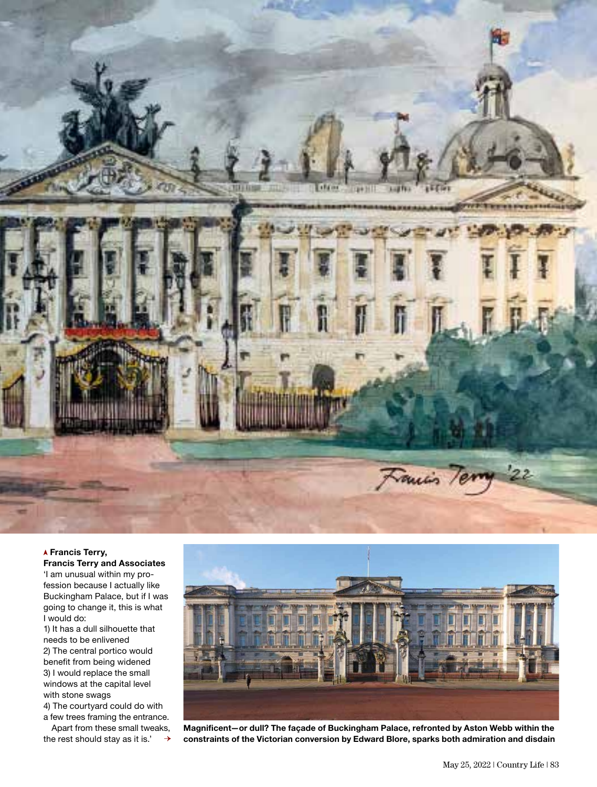

 **Francis Terry, Francis Terry and Associates**

'I am unusual within my profession because I actually like Buckingham Palace, but if I was going to change it, this is what I would do:

1) It has a dull silhouette that needs to be enlivened 2) The central portico would benefit from being widened 3) I would replace the small windows at the capital level with stone swags

4) The courtyard could do with a few trees framing the entrance.

Apart from these small tweaks, the rest should stay as it is.'  $\rightarrow$ 



**Magnificent—or dull? The façade of Buckingham Palace, refronted by Aston Webb within the constraints of the Victorian conversion by Edward Blore, sparks both admiration and disdain**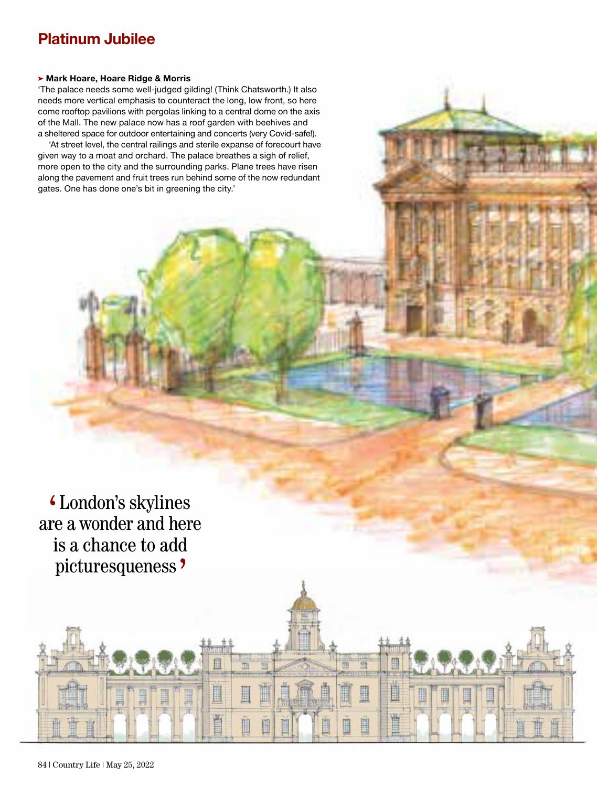#### **Mark Hoare, Hoare Ridge & Morris**

'The palace needs some well-judged gilding! (Think Chatsworth.) It also needs more vertical emphasis to counteract the long, low front, so here come rooftop pavilions with pergolas linking to a central dome on the axis of the Mall. The new palace now has a roof garden with beehives and a sheltered space for outdoor entertaining and concerts (very Covid-safe!).

'At street level, the central railings and sterile expanse of forecourt have given way to a moat and orchard. The palace breathes a sigh of relief, more open to the city and the surrounding parks. Plane trees have risen along the pavement and fruit trees run behind some of the now redundant gates. One has done one's bit in greening the city.'

London's skylines are a wonder and here is a chance to add picturesqueness ?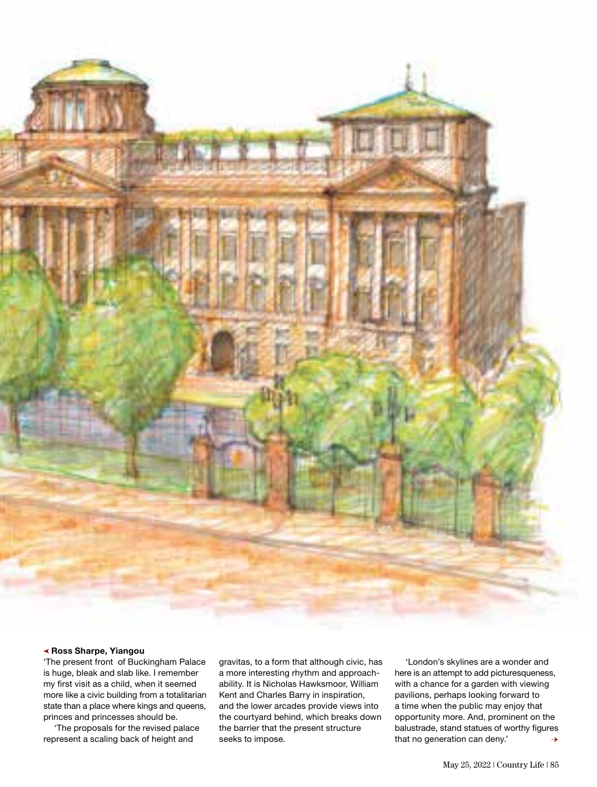

### **Ross Sharpe, Yiangou**

'The present front of Buckingham Palace is huge, bleak and slab like. I remember my first visit as a child, when it seemed more like a civic building from a totalitarian state than a place where kings and queens, princes and princesses should be.

'The proposals for the revised palace represent a scaling back of height and

gravitas, to a form that although civic, has a more interesting rhythm and approachability. It is Nicholas Hawksmoor, William Kent and Charles Barry in inspiration, and the lower arcades provide views into the courtyard behind, which breaks down the barrier that the present structure seeks to impose.

'London's skylines are a wonder and here is an attempt to add picturesqueness, with a chance for a garden with viewing pavilions, perhaps looking forward to a time when the public may enjoy that opportunity more. And, prominent on the balustrade, stand statues of worthy figures that no generation can deny.'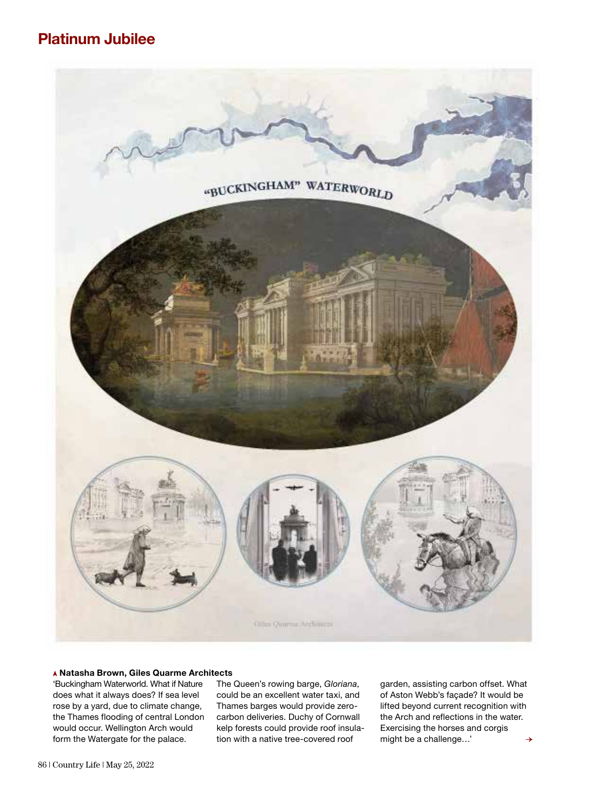

#### **Natasha Brown, Giles Quarme Architects**

'Buckingham Waterworld. What if Nature does what it always does? If sea level rose by a yard, due to climate change, the Thames flooding of central London would occur. Wellington Arch would form the Watergate for the palace.

The Queen's rowing barge, *Gloriana*, could be an excellent water taxi, and Thames barges would provide zerocarbon deliveries. Duchy of Cornwall kelp forests could provide roof insulation with a native tree-covered roof

garden, assisting carbon offset. What of Aston Webb's façade? It would be lifted beyond current recognition with the Arch and reflections in the water. Exercising the horses and corgis might be a challenge…'